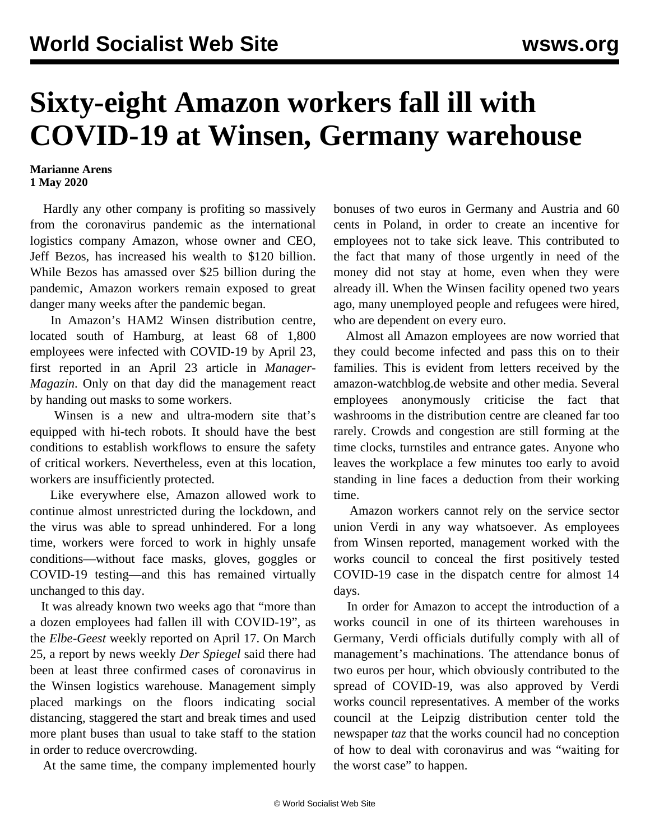## **Sixty-eight Amazon workers fall ill with COVID-19 at Winsen, Germany warehouse**

## **Marianne Arens 1 May 2020**

 Hardly any other company is profiting so massively from the coronavirus pandemic as the international logistics company Amazon, whose owner and CEO, Jeff Bezos, has increased his wealth to \$120 billion. While Bezos has amassed over \$25 billion during the pandemic, Amazon workers remain exposed to great danger many weeks after the pandemic began.

 In Amazon's HAM2 Winsen distribution centre, located south of Hamburg, at least 68 of 1,800 employees were infected with COVID-19 by April 23, first reported in an April 23 article in *Manager-Magazin*. Only on that day did the management react by handing out masks to some workers.

 Winsen is a new and ultra-modern site that's equipped with hi-tech robots. It should have the best conditions to establish workflows to ensure the safety of critical workers. Nevertheless, even at this location, workers are insufficiently protected.

 Like everywhere else, Amazon allowed work to continue almost unrestricted during the lockdown, and the virus was able to spread unhindered. For a long time, workers were forced to work in highly unsafe conditions—without face masks, gloves, goggles or COVID-19 testing—and this has remained virtually unchanged to this day.

 It was already known two weeks ago that "more than a dozen employees had fallen ill with COVID-19", as the *Elbe-Geest* weekly reported on April 17. On March 25, a report by news weekly *Der Spiegel* said there had been at least three confirmed cases of coronavirus in the Winsen logistics warehouse. Management simply placed markings on the floors indicating social distancing, staggered the start and break times and used more plant buses than usual to take staff to the station in order to reduce overcrowding.

At the same time, the company implemented hourly

bonuses of two euros in Germany and Austria and 60 cents in Poland, in order to create an incentive for employees not to take sick leave. This contributed to the fact that many of those urgently in need of the money did not stay at home, even when they were already ill. When the Winsen facility opened two years ago, many unemployed people and refugees were hired, who are dependent on every euro.

 Almost all Amazon employees are now worried that they could become infected and pass this on to their families. This is evident from letters received by the amazon-watchblog.de website and other media. Several employees anonymously criticise the fact that washrooms in the distribution centre are cleaned far too rarely. Crowds and congestion are still forming at the time clocks, turnstiles and entrance gates. Anyone who leaves the workplace a few minutes too early to avoid standing in line faces a deduction from their working time.

 Amazon workers cannot rely on the service sector union Verdi in any way whatsoever. As employees from Winsen reported, management worked with the works council to conceal the first positively tested COVID-19 case in the dispatch centre for almost 14 days.

 In order for Amazon to accept the introduction of a works council in one of its thirteen warehouses in Germany, Verdi officials dutifully comply with all of management's machinations. The attendance bonus of two euros per hour, which obviously contributed to the spread of COVID-19, was also approved by Verdi works council representatives. A member of the works council at the Leipzig distribution center told the newspaper *taz* that the works council had no conception of how to deal with coronavirus and was "waiting for the worst case" to happen.